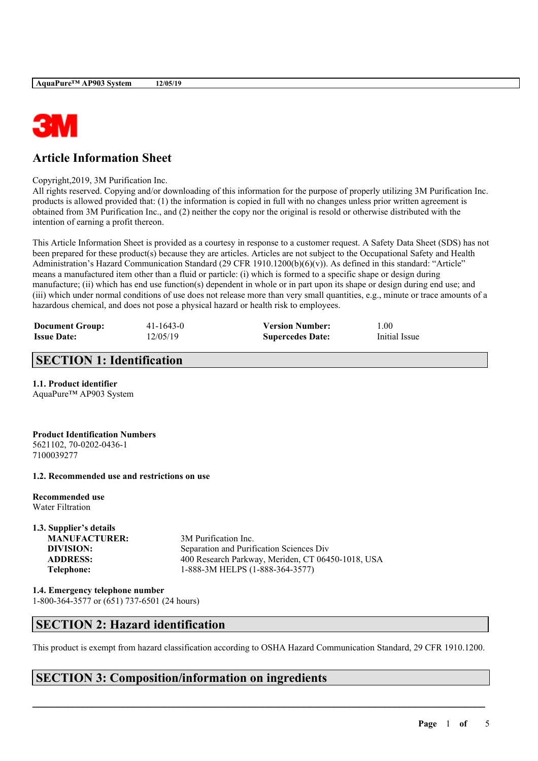

# **Article Information Sheet**

#### Copyright,2019, 3M Purification Inc.

All rights reserved. Copying and/or downloading of this information for the purpose of properly utilizing 3M Purification Inc. products is allowed provided that: (1) the information is copied in full with no changes unless prior written agreement is obtained from 3M Purification Inc., and (2) neither the copy nor the original is resold or otherwise distributed with the intention of earning a profit thereon.

This Article Information Sheet is provided as a courtesy in response to a customer request. A Safety Data Sheet (SDS) has not been prepared for these product(s) because they are articles. Articles are not subject to the Occupational Safety and Health Administration's Hazard Communication Standard (29 CFR 1910.1200(b)(6)(v)). As defined in this standard: "Article" means a manufactured item other than a fluid or particle: (i) which is formed to a specific shape or design during manufacture; (ii) which has end use function(s) dependent in whole or in part upon its shape or design during end use; and (iii) which under normal conditions of use does not release more than very small quantities, e.g., minute or trace amounts of a hazardous chemical, and does not pose a physical hazard or health risk to employees.

| <b>Document Group:</b> | $41 - 1643 - 0$ | <b>Version Number:</b>  | l.00          |
|------------------------|-----------------|-------------------------|---------------|
| <b>Issue Date:</b>     | 12/05/19        | <b>Supercedes Date:</b> | Initial Issue |

## **SECTION 1: Identification**

### **1.1. Product identifier**

AquaPure™ AP903 System

**Product Identification Numbers** 5621102, 70-0202-0436-1 7100039277

### **1.2. Recommended use and restrictions on use**

**Recommended use** Water Filtration

# **1.3. Supplier's details**

**MANUFACTURER:** 3M Purification Inc. **DIVISION:** Separation and Purification Sciences Div **ADDRESS:** 400 Research Parkway, Meriden, CT 06450-1018, USA **Telephone:** 1-888-3M HELPS (1-888-364-3577)

**1.4. Emergency telephone number** 1-800-364-3577 or (651) 737-6501 (24 hours)

## **SECTION 2: Hazard identification**

This product is exempt from hazard classification according to OSHA Hazard Communication Standard, 29 CFR 1910.1200.

 $\mathcal{L}_\mathcal{L} = \mathcal{L}_\mathcal{L} = \mathcal{L}_\mathcal{L} = \mathcal{L}_\mathcal{L} = \mathcal{L}_\mathcal{L} = \mathcal{L}_\mathcal{L} = \mathcal{L}_\mathcal{L} = \mathcal{L}_\mathcal{L} = \mathcal{L}_\mathcal{L} = \mathcal{L}_\mathcal{L} = \mathcal{L}_\mathcal{L} = \mathcal{L}_\mathcal{L} = \mathcal{L}_\mathcal{L} = \mathcal{L}_\mathcal{L} = \mathcal{L}_\mathcal{L} = \mathcal{L}_\mathcal{L} = \mathcal{L}_\mathcal{L}$ 

## **SECTION 3: Composition/information on ingredients**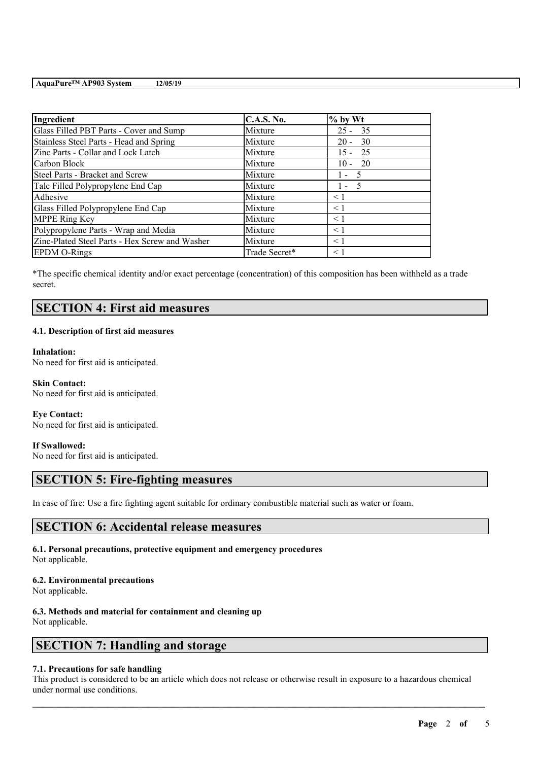| Ingredient                                     | <b>C.A.S. No.</b> | $%$ by Wt |
|------------------------------------------------|-------------------|-----------|
| Glass Filled PBT Parts - Cover and Sump        | Mixture           | $25 - 35$ |
| Stainless Steel Parts - Head and Spring        | Mixture           | $20 - 30$ |
| Zinc Parts - Collar and Lock Latch             | Mixture           | $15 - 25$ |
| Carbon Block                                   | Mixture           | $10 - 20$ |
| Steel Parts - Bracket and Screw                | Mixture           | $1 - 5$   |
| Talc Filled Polypropylene End Cap              | Mixture           | $1 - 5$   |
| Adhesive                                       | Mixture           | < 1       |
| Glass Filled Polypropylene End Cap             | Mixture           | < 1       |
| <b>MPPE Ring Key</b>                           | Mixture           | $\leq 1$  |
| Polypropylene Parts - Wrap and Media           | Mixture           | $\leq$ 1  |
| Zinc-Plated Steel Parts - Hex Screw and Washer | Mixture           | $\leq$ 1  |
| <b>EPDM O-Rings</b>                            | Trade Secret*     | $\leq 1$  |

\*The specific chemical identity and/or exact percentage (concentration) of this composition has been withheld as a trade secret.

## **SECTION 4: First aid measures**

### **4.1. Description of first aid measures**

**Inhalation:** No need for first aid is anticipated.

**Skin Contact:** No need for first aid is anticipated.

**Eye Contact:** No need for first aid is anticipated.

**If Swallowed:** No need for first aid is anticipated.

## **SECTION 5: Fire-fighting measures**

In case of fire: Use a fire fighting agent suitable for ordinary combustible material such as water or foam.

## **SECTION 6: Accidental release measures**

**6.1. Personal precautions, protective equipment and emergency procedures** Not applicable.

### **6.2. Environmental precautions**

Not applicable.

## **6.3. Methods and material for containment and cleaning up**

Not applicable.

# **SECTION 7: Handling and storage**

### **7.1. Precautions for safe handling**

This product is considered to be an article which does not release or otherwise result in exposure to a hazardous chemical under normal use conditions.

 $\mathcal{L}_\mathcal{L} = \mathcal{L}_\mathcal{L} = \mathcal{L}_\mathcal{L} = \mathcal{L}_\mathcal{L} = \mathcal{L}_\mathcal{L} = \mathcal{L}_\mathcal{L} = \mathcal{L}_\mathcal{L} = \mathcal{L}_\mathcal{L} = \mathcal{L}_\mathcal{L} = \mathcal{L}_\mathcal{L} = \mathcal{L}_\mathcal{L} = \mathcal{L}_\mathcal{L} = \mathcal{L}_\mathcal{L} = \mathcal{L}_\mathcal{L} = \mathcal{L}_\mathcal{L} = \mathcal{L}_\mathcal{L} = \mathcal{L}_\mathcal{L}$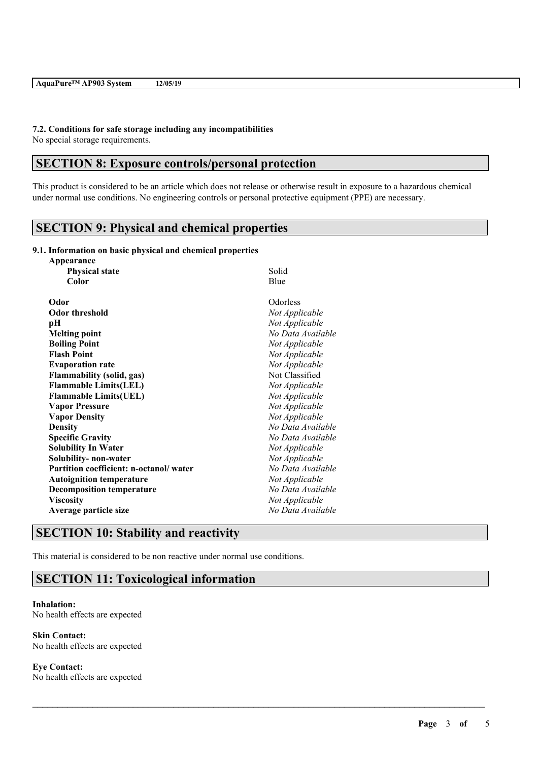# **7.2. Conditions for safe storage including any incompatibilities**

No special storage requirements.

## **SECTION 8: Exposure controls/personal protection**

This product is considered to be an article which does not release or otherwise result in exposure to a hazardous chemical under normal use conditions. No engineering controls or personal protective equipment (PPE) are necessary.

 $\mathcal{L}_\mathcal{L} = \mathcal{L}_\mathcal{L} = \mathcal{L}_\mathcal{L} = \mathcal{L}_\mathcal{L} = \mathcal{L}_\mathcal{L} = \mathcal{L}_\mathcal{L} = \mathcal{L}_\mathcal{L} = \mathcal{L}_\mathcal{L} = \mathcal{L}_\mathcal{L} = \mathcal{L}_\mathcal{L} = \mathcal{L}_\mathcal{L} = \mathcal{L}_\mathcal{L} = \mathcal{L}_\mathcal{L} = \mathcal{L}_\mathcal{L} = \mathcal{L}_\mathcal{L} = \mathcal{L}_\mathcal{L} = \mathcal{L}_\mathcal{L}$ 

# **SECTION 9: Physical and chemical properties**

### **9.1. Information on basic physical and chemical properties**

| Appearance                             |                   |
|----------------------------------------|-------------------|
| <b>Physical state</b>                  | Solid             |
| Color                                  | Blue              |
| Odor                                   | Odorless          |
| <b>Odor threshold</b>                  | Not Applicable    |
| pН                                     | Not Applicable    |
| <b>Melting point</b>                   | No Data Available |
| <b>Boiling Point</b>                   | Not Applicable    |
| <b>Flash Point</b>                     | Not Applicable    |
| <b>Evaporation rate</b>                | Not Applicable    |
| <b>Flammability (solid, gas)</b>       | Not Classified    |
| <b>Flammable Limits(LEL)</b>           | Not Applicable    |
| <b>Flammable Limits(UEL)</b>           | Not Applicable    |
| <b>Vapor Pressure</b>                  | Not Applicable    |
| <b>Vapor Density</b>                   | Not Applicable    |
| <b>Density</b>                         | No Data Available |
| <b>Specific Gravity</b>                | No Data Available |
| <b>Solubility In Water</b>             | Not Applicable    |
| Solubility- non-water                  | Not Applicable    |
| Partition coefficient: n-octanol/water | No Data Available |
| <b>Autoignition temperature</b>        | Not Applicable    |
| <b>Decomposition temperature</b>       | No Data Available |
| <b>Viscosity</b>                       | Not Applicable    |
| Average particle size                  | No Data Available |

# **SECTION 10: Stability and reactivity**

This material is considered to be non reactive under normal use conditions.

## **SECTION 11: Toxicological information**

### **Inhalation:** No health effects are expected

**Skin Contact:** No health effects are expected

**Eye Contact:** No health effects are expected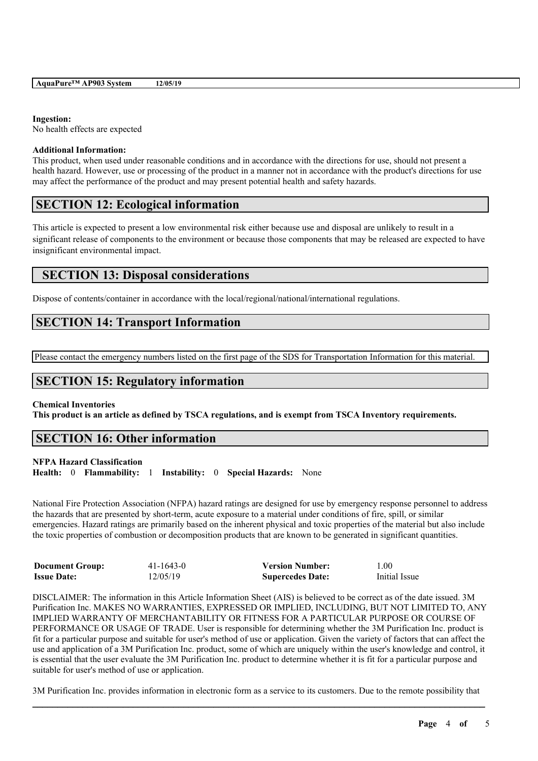#### **Ingestion:**

No health effects are expected

#### **Additional Information:**

This product, when used under reasonable conditions and in accordance with the directions for use, should not present a health hazard. However, use or processing of the product in a manner not in accordance with the product's directions for use may affect the performance of the product and may present potential health and safety hazards.

## **SECTION 12: Ecological information**

This article is expected to present a low environmental risk either because use and disposal are unlikely to result in a significant release of components to the environment or because those components that may be released are expected to have insignificant environmental impact.

## **SECTION 13: Disposal considerations**

Dispose of contents/container in accordance with the local/regional/national/international regulations.

## **SECTION 14: Transport Information**

Please contact the emergency numbers listed on the first page of the SDS for Transportation Information for this material.

### **SECTION 15: Regulatory information**

#### **Chemical Inventories**

This product is an article as defined by TSCA regulations, and is exempt from TSCA Inventory requirements.

## **SECTION 16: Other information**

### **NFPA Hazard Classification**

**Health:** 0 **Flammability:** 1 **Instability:** 0 **Special Hazards:** None

National Fire Protection Association (NFPA) hazard ratings are designed for use by emergency response personnel to address the hazards that are presented by short-term, acute exposure to a material under conditions of fire, spill, or similar emergencies. Hazard ratings are primarily based on the inherent physical and toxic properties of the material but also include the toxic properties of combustion or decomposition products that are known to be generated in significant quantities.

| <b>Document Group:</b> | 41-1643-0 | <b>Version Number:</b>  | 1.00          |
|------------------------|-----------|-------------------------|---------------|
| <b>Issue Date:</b>     | 12/05/19  | <b>Supercedes Date:</b> | Initial Issue |

DISCLAIMER: The information in this Article Information Sheet (AIS) is believed to be correct as of the date issued. 3M Purification Inc. MAKES NO WARRANTIES, EXPRESSED OR IMPLIED, INCLUDING, BUT NOT LIMITED TO, ANY IMPLIED WARRANTY OF MERCHANTABILITY OR FITNESS FOR A PARTICULAR PURPOSE OR COURSE OF PERFORMANCE OR USAGE OF TRADE. User is responsible for determining whether the 3M Purification Inc. product is fit for a particular purpose and suitable for user's method of use or application. Given the variety of factors that can affect the use and application of a 3M Purification Inc. product, some of which are uniquely within the user's knowledge and control, it is essential that the user evaluate the 3M Purification Inc. product to determine whether it is fit for a particular purpose and suitable for user's method of use or application.

 $\mathcal{L}_\mathcal{L} = \mathcal{L}_\mathcal{L} = \mathcal{L}_\mathcal{L} = \mathcal{L}_\mathcal{L} = \mathcal{L}_\mathcal{L} = \mathcal{L}_\mathcal{L} = \mathcal{L}_\mathcal{L} = \mathcal{L}_\mathcal{L} = \mathcal{L}_\mathcal{L} = \mathcal{L}_\mathcal{L} = \mathcal{L}_\mathcal{L} = \mathcal{L}_\mathcal{L} = \mathcal{L}_\mathcal{L} = \mathcal{L}_\mathcal{L} = \mathcal{L}_\mathcal{L} = \mathcal{L}_\mathcal{L} = \mathcal{L}_\mathcal{L}$ 3M Purification Inc. provides information in electronic form as a service to its customers. Due to the remote possibility that